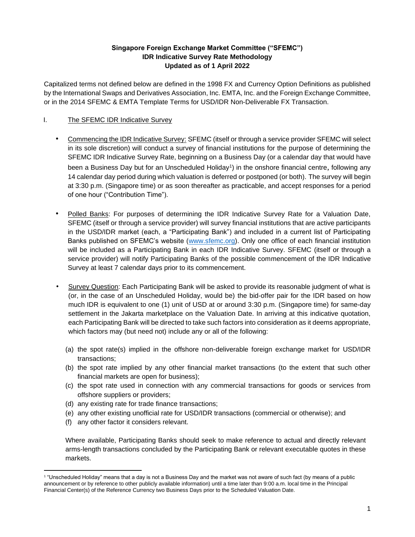## **Singapore Foreign Exchange Market Committee ("SFEMC") IDR Indicative Survey Rate Methodology Updated as of 1 April 2022**

Capitalized terms not defined below are defined in the 1998 FX and Currency Option Definitions as published by the International Swaps and Derivatives Association, Inc. EMTA, Inc. and the Foreign Exchange Committee, or in the 2014 SFEMC & EMTA Template Terms for USD/IDR Non-Deliverable FX Transaction.

#### I. The SFEMC IDR Indicative Survey

- Commencing the IDR Indicative Survey: SFEMC (itself or through a service provider SFEMC will select in its sole discretion) will conduct a survey of financial institutions for the purpose of determining the SFEMC IDR Indicative Survey Rate, beginning on a Business Day (or a calendar day that would have been a Business Day but for an Unscheduled Holiday<sup>1</sup>) in the onshore financial centre, following any 14 calendar day period during which valuation is deferred or postponed (or both). The survey will begin at 3:30 p.m. (Singapore time) or as soon thereafter as practicable, and accept responses for a period of one hour ("Contribution Time").
- Polled Banks: For purposes of determining the IDR Indicative Survey Rate for a Valuation Date, SFEMC (itself or through a service provider) will survey financial institutions that are active participants in the USD/IDR market (each, a "Participating Bank") and included in a current list of Participating Banks published on SFEMC's website [\(www.sfemc.org\).](http://www.sfemc.org/) Only one office of each financial institution will be included as a Participating Bank in each IDR Indicative Survey. SFEMC (itself or through a service provider) will notify Participating Banks of the possible commencement of the IDR Indicative Survey at least 7 calendar days prior to its commencement.
- Survey Question: Each Participating Bank will be asked to provide its reasonable judgment of what is (or, in the case of an Unscheduled Holiday, would be) the bid-offer pair for the IDR based on how much IDR is equivalent to one (1) unit of USD at or around 3:30 p.m. (Singapore time) for same-day settlement in the Jakarta marketplace on the Valuation Date. In arriving at this indicative quotation, each Participating Bank will be directed to take such factors into consideration as it deems appropriate, which factors may (but need not) include any or all of the following:
	- (a) the spot rate(s) implied in the offshore non-deliverable foreign exchange market for USD/IDR transactions;
	- (b) the spot rate implied by any other financial market transactions (to the extent that such other financial markets are open for business);
	- (c) the spot rate used in connection with any commercial transactions for goods or services from offshore suppliers or providers;
	- (d) any existing rate for trade finance transactions;
	- (e) any other existing unofficial rate for USD/IDR transactions (commercial or otherwise); and
	- (f) any other factor it considers relevant.

Where available, Participating Banks should seek to make reference to actual and directly relevant arms-length transactions concluded by the Participating Bank or relevant executable quotes in these markets.

<sup>1</sup> "Unscheduled Holiday" means that a day is not a Business Day and the market was not aware of such fact (by means of a public announcement or by reference to other publicly available information) until a time later than 9:00 a.m. local time in the Principal Financial Center(s) of the Reference Currency two Business Days prior to the Scheduled Valuation Date.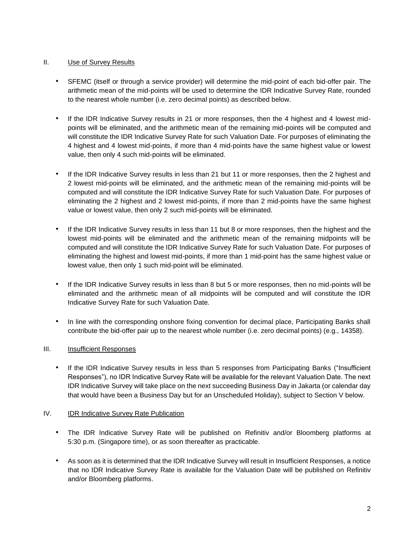## II. Use of Survey Results

- SFEMC (itself or through a service provider) will determine the mid-point of each bid-offer pair. The arithmetic mean of the mid-points will be used to determine the IDR Indicative Survey Rate, rounded to the nearest whole number (i.e. zero decimal points) as described below.
- If the IDR Indicative Survey results in 21 or more responses, then the 4 highest and 4 lowest midpoints will be eliminated, and the arithmetic mean of the remaining mid-points will be computed and will constitute the IDR Indicative Survey Rate for such Valuation Date. For purposes of eliminating the 4 highest and 4 lowest mid-points, if more than 4 mid-points have the same highest value or lowest value, then only 4 such mid-points will be eliminated.
- If the IDR Indicative Survey results in less than 21 but 11 or more responses, then the 2 highest and 2 lowest mid-points will be eliminated, and the arithmetic mean of the remaining mid-points will be computed and will constitute the IDR Indicative Survey Rate for such Valuation Date. For purposes of eliminating the 2 highest and 2 lowest mid-points, if more than 2 mid-points have the same highest value or lowest value, then only 2 such mid-points will be eliminated.
- If the IDR Indicative Survey results in less than 11 but 8 or more responses, then the highest and the lowest mid-points will be eliminated and the arithmetic mean of the remaining midpoints will be computed and will constitute the IDR Indicative Survey Rate for such Valuation Date. For purposes of eliminating the highest and lowest mid-points, if more than 1 mid-point has the same highest value or lowest value, then only 1 such mid-point will be eliminated.
- If the IDR Indicative Survey results in less than 8 but 5 or more responses, then no mid-points will be eliminated and the arithmetic mean of all midpoints will be computed and will constitute the IDR Indicative Survey Rate for such Valuation Date.
- In line with the corresponding onshore fixing convention for decimal place, Participating Banks shall contribute the bid-offer pair up to the nearest whole number (i.e. zero decimal points) (e.g., 14358).

# III. Insufficient Responses

• If the IDR Indicative Survey results in less than 5 responses from Participating Banks ("Insufficient Responses"), no IDR Indicative Survey Rate will be available for the relevant Valuation Date. The next IDR Indicative Survey will take place on the next succeeding Business Day in Jakarta (or calendar day that would have been a Business Day but for an Unscheduled Holiday), subject to Section V below.

#### IV. IDR Indicative Survey Rate Publication

- The IDR Indicative Survey Rate will be published on Refinitiv and/or Bloomberg platforms at 5:30 p.m. (Singapore time), or as soon thereafter as practicable.
- As soon as it is determined that the IDR Indicative Survey will result in Insufficient Responses, a notice that no IDR Indicative Survey Rate is available for the Valuation Date will be published on Refinitiv and/or Bloomberg platforms.